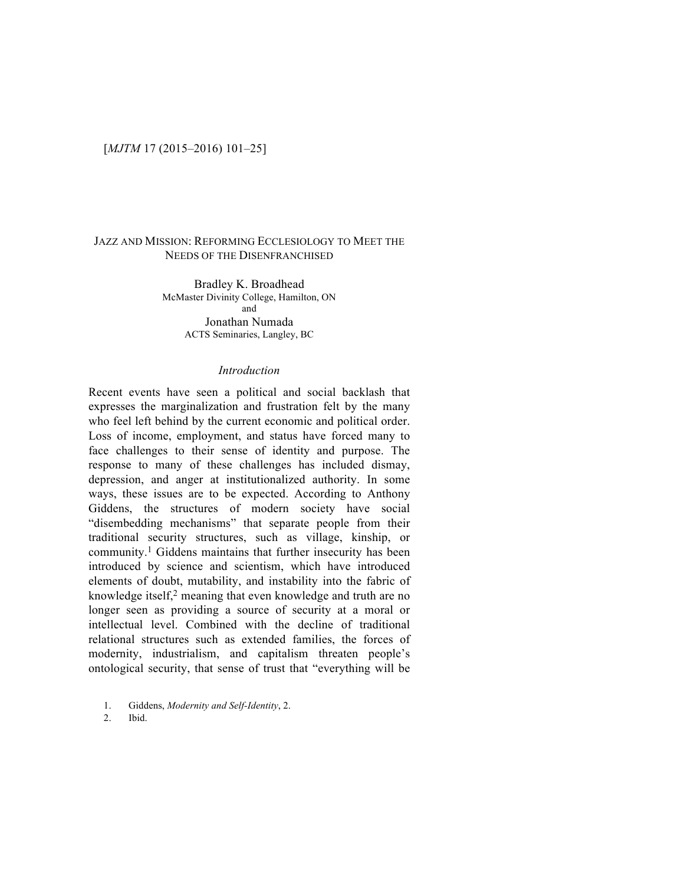# [*MJTM* 17 (2015–2016) 101–25]

## JAZZ AND MISSION: REFORMING ECCLESIOLOGY TO MEET THE NEEDS OF THE DISENFRANCHISED

Bradley K. Broadhead McMaster Divinity College, Hamilton, ON and Jonathan Numada ACTS Seminaries, Langley, BC

#### *Introduction*

Recent events have seen a political and social backlash that expresses the marginalization and frustration felt by the many who feel left behind by the current economic and political order. Loss of income, employment, and status have forced many to face challenges to their sense of identity and purpose. The response to many of these challenges has included dismay, depression, and anger at institutionalized authority. In some ways, these issues are to be expected. According to Anthony Giddens, the structures of modern society have social "disembedding mechanisms" that separate people from their traditional security structures, such as village, kinship, or community.1 Giddens maintains that further insecurity has been introduced by science and scientism, which have introduced elements of doubt, mutability, and instability into the fabric of knowledge itself,<sup>2</sup> meaning that even knowledge and truth are no longer seen as providing a source of security at a moral or intellectual level. Combined with the decline of traditional relational structures such as extended families, the forces of modernity, industrialism, and capitalism threaten people's ontological security, that sense of trust that "everything will be

2. Ibid.

<sup>1.</sup> Giddens, *Modernity and Self-Identity*, 2.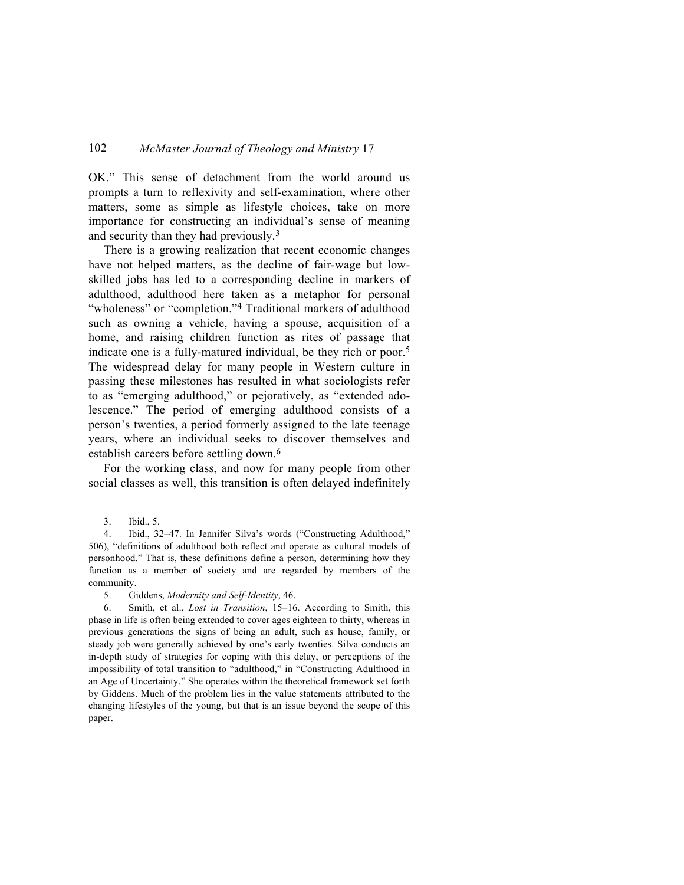OK." This sense of detachment from the world around us prompts a turn to reflexivity and self-examination, where other matters, some as simple as lifestyle choices, take on more importance for constructing an individual's sense of meaning and security than they had previously.3

There is a growing realization that recent economic changes have not helped matters, as the decline of fair-wage but lowskilled jobs has led to a corresponding decline in markers of adulthood, adulthood here taken as a metaphor for personal "wholeness" or "completion."<sup>4</sup> Traditional markers of adulthood such as owning a vehicle, having a spouse, acquisition of a home, and raising children function as rites of passage that indicate one is a fully-matured individual, be they rich or poor.5 The widespread delay for many people in Western culture in passing these milestones has resulted in what sociologists refer to as "emerging adulthood," or pejoratively, as "extended adolescence." The period of emerging adulthood consists of a person's twenties, a period formerly assigned to the late teenage years, where an individual seeks to discover themselves and establish careers before settling down.<sup>6</sup>

For the working class, and now for many people from other social classes as well, this transition is often delayed indefinitely

4. Ibid., 32–47. In Jennifer Silva's words ("Constructing Adulthood," 506), "definitions of adulthood both reflect and operate as cultural models of personhood." That is, these definitions define a person, determining how they function as a member of society and are regarded by members of the community.

5. Giddens, *Modernity and Self-Identity*, 46.

6. Smith, et al., *Lost in Transition*, 15–16. According to Smith, this phase in life is often being extended to cover ages eighteen to thirty, whereas in previous generations the signs of being an adult, such as house, family, or steady job were generally achieved by one's early twenties. Silva conducts an in-depth study of strategies for coping with this delay, or perceptions of the impossibility of total transition to "adulthood," in "Constructing Adulthood in an Age of Uncertainty." She operates within the theoretical framework set forth by Giddens. Much of the problem lies in the value statements attributed to the changing lifestyles of the young, but that is an issue beyond the scope of this paper.

<sup>3.</sup> Ibid., 5.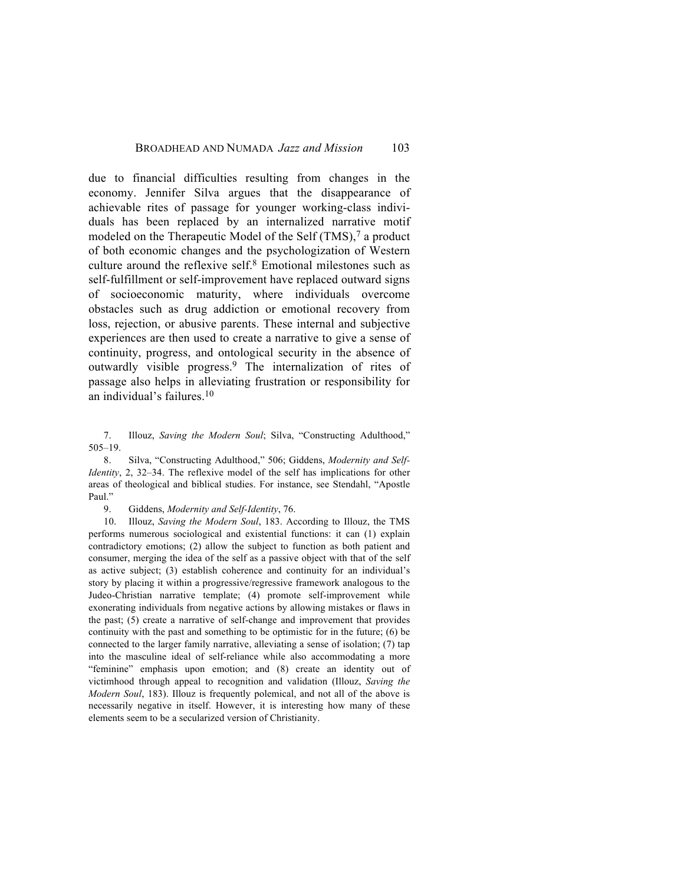due to financial difficulties resulting from changes in the economy. Jennifer Silva argues that the disappearance of achievable rites of passage for younger working-class individuals has been replaced by an internalized narrative motif modeled on the Therapeutic Model of the Self (TMS),<sup>7</sup> a product of both economic changes and the psychologization of Western culture around the reflexive self.8 Emotional milestones such as self-fulfillment or self-improvement have replaced outward signs of socioeconomic maturity, where individuals overcome obstacles such as drug addiction or emotional recovery from loss, rejection, or abusive parents. These internal and subjective experiences are then used to create a narrative to give a sense of continuity, progress, and ontological security in the absence of outwardly visible progress.9 The internalization of rites of passage also helps in alleviating frustration or responsibility for an individual's failures.10

7. Illouz, *Saving the Modern Soul*; Silva, "Constructing Adulthood," 505–19.

8. Silva, "Constructing Adulthood," 506; Giddens, *Modernity and Self-Identity*, 2, 32–34. The reflexive model of the self has implications for other areas of theological and biblical studies. For instance, see Stendahl, "Apostle Paul."

9. Giddens, *Modernity and Self-Identity*, 76.

10. Illouz, *Saving the Modern Soul*, 183. According to Illouz, the TMS performs numerous sociological and existential functions: it can (1) explain contradictory emotions; (2) allow the subject to function as both patient and consumer, merging the idea of the self as a passive object with that of the self as active subject; (3) establish coherence and continuity for an individual's story by placing it within a progressive/regressive framework analogous to the Judeo-Christian narrative template; (4) promote self-improvement while exonerating individuals from negative actions by allowing mistakes or flaws in the past; (5) create a narrative of self-change and improvement that provides continuity with the past and something to be optimistic for in the future; (6) be connected to the larger family narrative, alleviating a sense of isolation; (7) tap into the masculine ideal of self-reliance while also accommodating a more "feminine" emphasis upon emotion; and (8) create an identity out of victimhood through appeal to recognition and validation (Illouz, *Saving the Modern Soul*, 183). Illouz is frequently polemical, and not all of the above is necessarily negative in itself. However, it is interesting how many of these elements seem to be a secularized version of Christianity.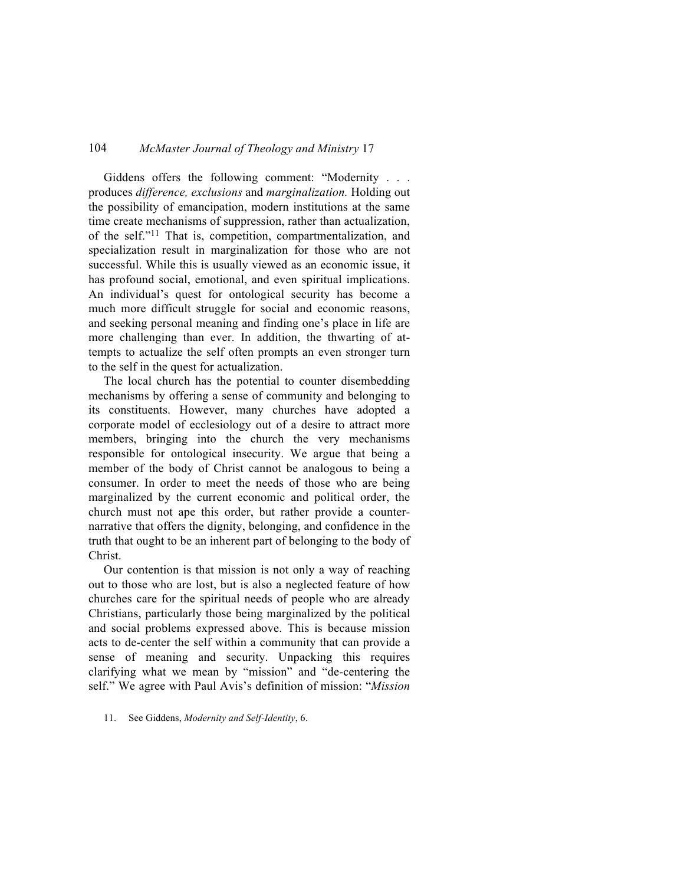Giddens offers the following comment: "Modernity . . . produces *difference, exclusions* and *marginalization.* Holding out the possibility of emancipation, modern institutions at the same time create mechanisms of suppression, rather than actualization, of the self."11 That is, competition, compartmentalization, and specialization result in marginalization for those who are not successful. While this is usually viewed as an economic issue, it has profound social, emotional, and even spiritual implications. An individual's quest for ontological security has become a much more difficult struggle for social and economic reasons, and seeking personal meaning and finding one's place in life are more challenging than ever. In addition, the thwarting of attempts to actualize the self often prompts an even stronger turn to the self in the quest for actualization.

The local church has the potential to counter disembedding mechanisms by offering a sense of community and belonging to its constituents. However, many churches have adopted a corporate model of ecclesiology out of a desire to attract more members, bringing into the church the very mechanisms responsible for ontological insecurity. We argue that being a member of the body of Christ cannot be analogous to being a consumer. In order to meet the needs of those who are being marginalized by the current economic and political order, the church must not ape this order, but rather provide a counternarrative that offers the dignity, belonging, and confidence in the truth that ought to be an inherent part of belonging to the body of Christ.

Our contention is that mission is not only a way of reaching out to those who are lost, but is also a neglected feature of how churches care for the spiritual needs of people who are already Christians, particularly those being marginalized by the political and social problems expressed above. This is because mission acts to de-center the self within a community that can provide a sense of meaning and security. Unpacking this requires clarifying what we mean by "mission" and "de-centering the self." We agree with Paul Avis's definition of mission: "*Mission* 

11. See Giddens, *Modernity and Self-Identity*, 6.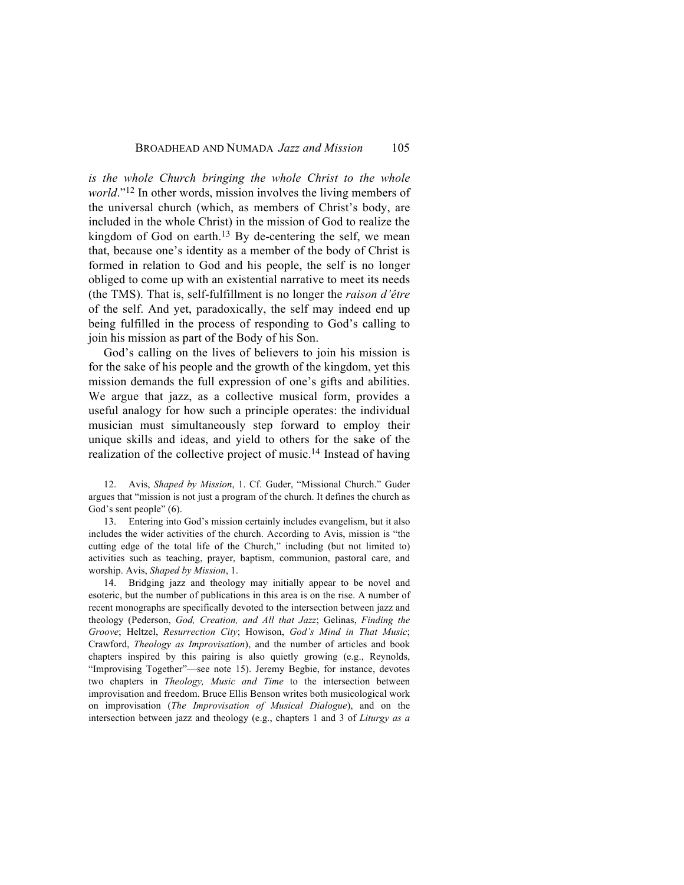*is the whole Church bringing the whole Christ to the whole world*."12 In other words, mission involves the living members of the universal church (which, as members of Christ's body, are included in the whole Christ) in the mission of God to realize the kingdom of God on earth.<sup>13</sup> By de-centering the self, we mean that, because one's identity as a member of the body of Christ is formed in relation to God and his people, the self is no longer obliged to come up with an existential narrative to meet its needs (the TMS). That is, self-fulfillment is no longer the *raison d'être* of the self. And yet, paradoxically, the self may indeed end up being fulfilled in the process of responding to God's calling to join his mission as part of the Body of his Son.

God's calling on the lives of believers to join his mission is for the sake of his people and the growth of the kingdom, yet this mission demands the full expression of one's gifts and abilities. We argue that jazz, as a collective musical form, provides a useful analogy for how such a principle operates: the individual musician must simultaneously step forward to employ their unique skills and ideas, and yield to others for the sake of the realization of the collective project of music.14 Instead of having

12. Avis, *Shaped by Mission*, 1. Cf. Guder, "Missional Church." Guder argues that "mission is not just a program of the church. It defines the church as God's sent people" (6).

13. Entering into God's mission certainly includes evangelism, but it also includes the wider activities of the church. According to Avis, mission is "the cutting edge of the total life of the Church," including (but not limited to) activities such as teaching, prayer, baptism, communion, pastoral care, and worship. Avis, *Shaped by Mission*, 1.

14. Bridging jazz and theology may initially appear to be novel and esoteric, but the number of publications in this area is on the rise. A number of recent monographs are specifically devoted to the intersection between jazz and theology (Pederson, *God, Creation, and All that Jazz*; Gelinas, *Finding the Groove*; Heltzel, *Resurrection City*; Howison, *God's Mind in That Music*; Crawford, *Theology as Improvisation*), and the number of articles and book chapters inspired by this pairing is also quietly growing (e.g., Reynolds, "Improvising Together"—see note 15). Jeremy Begbie, for instance, devotes two chapters in *Theology, Music and Time* to the intersection between improvisation and freedom. Bruce Ellis Benson writes both musicological work on improvisation (*The Improvisation of Musical Dialogue*), and on the intersection between jazz and theology (e.g., chapters 1 and 3 of *Liturgy as a*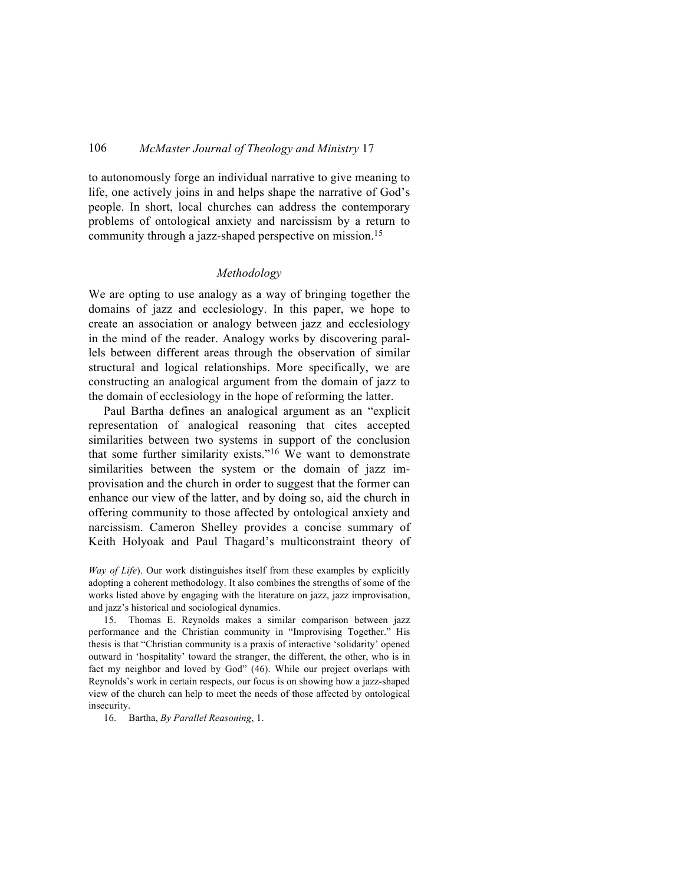to autonomously forge an individual narrative to give meaning to life, one actively joins in and helps shape the narrative of God's people. In short, local churches can address the contemporary problems of ontological anxiety and narcissism by a return to community through a jazz-shaped perspective on mission.15

#### *Methodology*

We are opting to use analogy as a way of bringing together the domains of jazz and ecclesiology. In this paper, we hope to create an association or analogy between jazz and ecclesiology in the mind of the reader. Analogy works by discovering parallels between different areas through the observation of similar structural and logical relationships. More specifically, we are constructing an analogical argument from the domain of jazz to the domain of ecclesiology in the hope of reforming the latter.

Paul Bartha defines an analogical argument as an "explicit representation of analogical reasoning that cites accepted similarities between two systems in support of the conclusion that some further similarity exists."16 We want to demonstrate similarities between the system or the domain of jazz improvisation and the church in order to suggest that the former can enhance our view of the latter, and by doing so, aid the church in offering community to those affected by ontological anxiety and narcissism. Cameron Shelley provides a concise summary of Keith Holyoak and Paul Thagard's multiconstraint theory of

*Way of Life*). Our work distinguishes itself from these examples by explicitly adopting a coherent methodology. It also combines the strengths of some of the works listed above by engaging with the literature on jazz, jazz improvisation, and jazz's historical and sociological dynamics.

15. Thomas E. Reynolds makes a similar comparison between jazz performance and the Christian community in "Improvising Together." His thesis is that "Christian community is a praxis of interactive 'solidarity' opened outward in 'hospitality' toward the stranger, the different, the other, who is in fact my neighbor and loved by God" (46). While our project overlaps with Reynolds's work in certain respects, our focus is on showing how a jazz-shaped view of the church can help to meet the needs of those affected by ontological insecurity.

16. Bartha, *By Parallel Reasoning*, 1.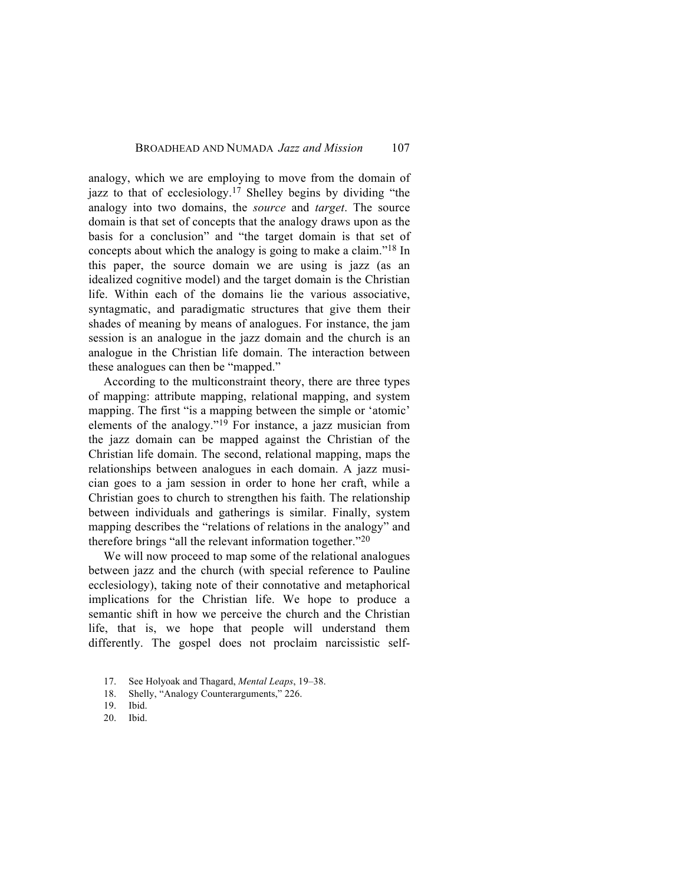analogy, which we are employing to move from the domain of jazz to that of ecclesiology.17 Shelley begins by dividing "the analogy into two domains, the *source* and *target*. The source domain is that set of concepts that the analogy draws upon as the basis for a conclusion" and "the target domain is that set of concepts about which the analogy is going to make a claim."18 In this paper, the source domain we are using is jazz (as an idealized cognitive model) and the target domain is the Christian life. Within each of the domains lie the various associative, syntagmatic, and paradigmatic structures that give them their shades of meaning by means of analogues. For instance, the jam session is an analogue in the jazz domain and the church is an analogue in the Christian life domain. The interaction between these analogues can then be "mapped."

According to the multiconstraint theory, there are three types of mapping: attribute mapping, relational mapping, and system mapping. The first "is a mapping between the simple or 'atomic' elements of the analogy."19 For instance, a jazz musician from the jazz domain can be mapped against the Christian of the Christian life domain. The second, relational mapping, maps the relationships between analogues in each domain. A jazz musician goes to a jam session in order to hone her craft, while a Christian goes to church to strengthen his faith. The relationship between individuals and gatherings is similar. Finally, system mapping describes the "relations of relations in the analogy" and therefore brings "all the relevant information together."20

We will now proceed to map some of the relational analogues between jazz and the church (with special reference to Pauline ecclesiology), taking note of their connotative and metaphorical implications for the Christian life. We hope to produce a semantic shift in how we perceive the church and the Christian life, that is, we hope that people will understand them differently. The gospel does not proclaim narcissistic self-

- 18. Shelly, "Analogy Counterarguments," 226.
- 19. Ibid.
- 20. Ibid.

<sup>17.</sup> See Holyoak and Thagard, *Mental Leaps*, 19–38.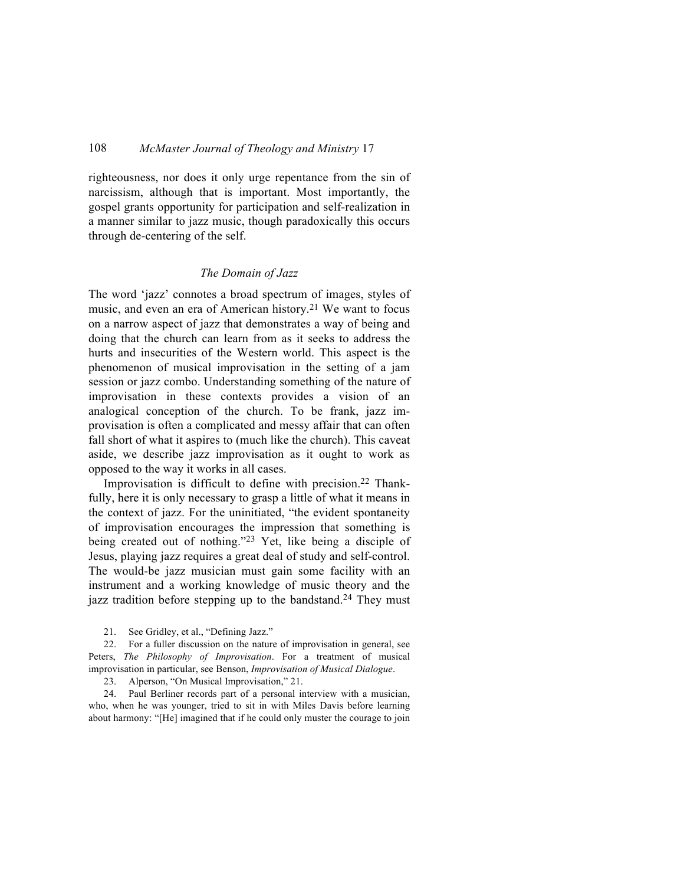righteousness, nor does it only urge repentance from the sin of narcissism, although that is important. Most importantly, the gospel grants opportunity for participation and self-realization in a manner similar to jazz music, though paradoxically this occurs through de-centering of the self.

#### *The Domain of Jazz*

The word 'jazz' connotes a broad spectrum of images, styles of music, and even an era of American history.<sup>21</sup> We want to focus on a narrow aspect of jazz that demonstrates a way of being and doing that the church can learn from as it seeks to address the hurts and insecurities of the Western world. This aspect is the phenomenon of musical improvisation in the setting of a jam session or jazz combo. Understanding something of the nature of improvisation in these contexts provides a vision of an analogical conception of the church. To be frank, jazz improvisation is often a complicated and messy affair that can often fall short of what it aspires to (much like the church). This caveat aside, we describe jazz improvisation as it ought to work as opposed to the way it works in all cases.

Improvisation is difficult to define with precision.22 Thankfully, here it is only necessary to grasp a little of what it means in the context of jazz. For the uninitiated, "the evident spontaneity of improvisation encourages the impression that something is being created out of nothing."23 Yet, like being a disciple of Jesus, playing jazz requires a great deal of study and self-control. The would-be jazz musician must gain some facility with an instrument and a working knowledge of music theory and the jazz tradition before stepping up to the bandstand.<sup>24</sup> They must

21. See Gridley, et al., "Defining Jazz."

22. For a fuller discussion on the nature of improvisation in general, see Peters, *The Philosophy of Improvisation*. For a treatment of musical improvisation in particular, see Benson, *Improvisation of Musical Dialogue*.

23. Alperson, "On Musical Improvisation," 21.

24. Paul Berliner records part of a personal interview with a musician, who, when he was younger, tried to sit in with Miles Davis before learning about harmony: "[He] imagined that if he could only muster the courage to join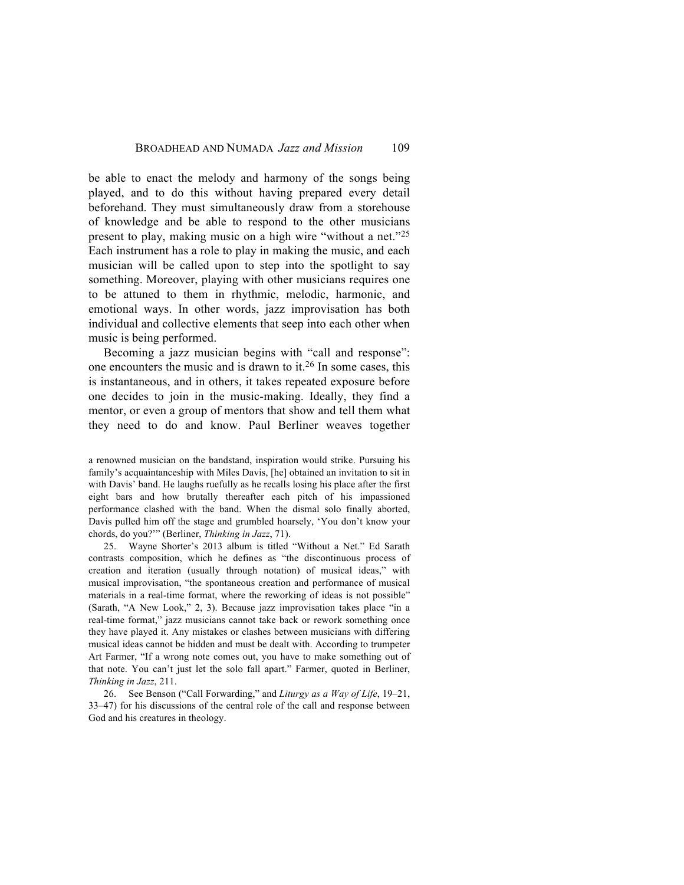be able to enact the melody and harmony of the songs being played, and to do this without having prepared every detail beforehand. They must simultaneously draw from a storehouse of knowledge and be able to respond to the other musicians present to play, making music on a high wire "without a net."25 Each instrument has a role to play in making the music, and each musician will be called upon to step into the spotlight to say something. Moreover, playing with other musicians requires one to be attuned to them in rhythmic, melodic, harmonic, and emotional ways. In other words, jazz improvisation has both individual and collective elements that seep into each other when music is being performed.

Becoming a jazz musician begins with "call and response": one encounters the music and is drawn to it.26 In some cases, this is instantaneous, and in others, it takes repeated exposure before one decides to join in the music-making. Ideally, they find a mentor, or even a group of mentors that show and tell them what they need to do and know. Paul Berliner weaves together

a renowned musician on the bandstand, inspiration would strike. Pursuing his family's acquaintanceship with Miles Davis, [he] obtained an invitation to sit in with Davis' band. He laughs ruefully as he recalls losing his place after the first eight bars and how brutally thereafter each pitch of his impassioned performance clashed with the band. When the dismal solo finally aborted, Davis pulled him off the stage and grumbled hoarsely, 'You don't know your chords, do you?'" (Berliner, *Thinking in Jazz*, 71).

25. Wayne Shorter's 2013 album is titled "Without a Net." Ed Sarath contrasts composition, which he defines as "the discontinuous process of creation and iteration (usually through notation) of musical ideas," with musical improvisation, "the spontaneous creation and performance of musical materials in a real-time format, where the reworking of ideas is not possible" (Sarath, "A New Look," 2, 3). Because jazz improvisation takes place "in a real-time format," jazz musicians cannot take back or rework something once they have played it. Any mistakes or clashes between musicians with differing musical ideas cannot be hidden and must be dealt with. According to trumpeter Art Farmer, "If a wrong note comes out, you have to make something out of that note. You can't just let the solo fall apart." Farmer, quoted in Berliner, *Thinking in Jazz*, 211.

26. See Benson ("Call Forwarding," and *Liturgy as a Way of Life*, 19–21, 33–47) for his discussions of the central role of the call and response between God and his creatures in theology.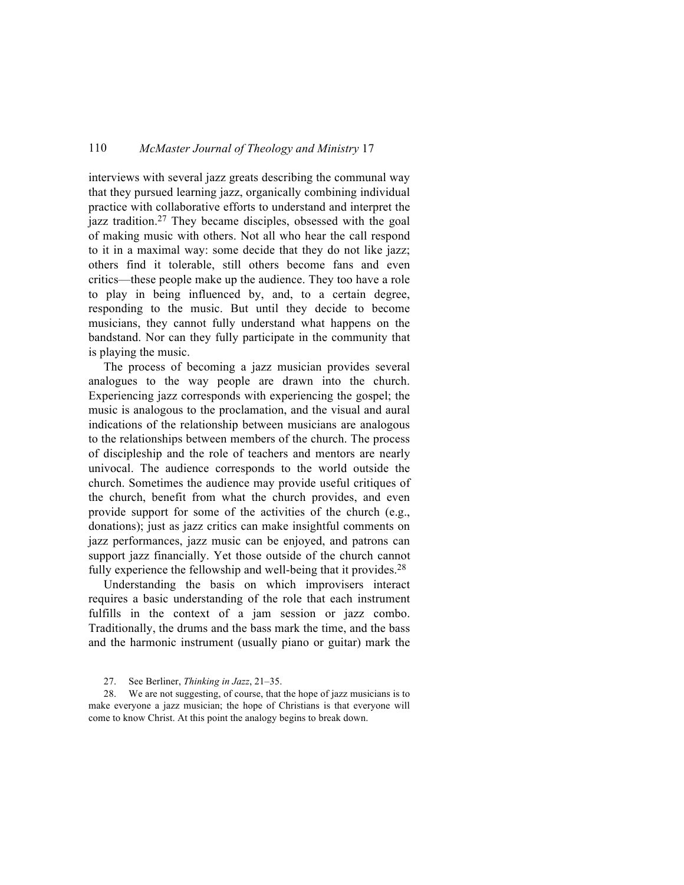interviews with several jazz greats describing the communal way that they pursued learning jazz, organically combining individual practice with collaborative efforts to understand and interpret the jazz tradition.<sup>27</sup> They became disciples, obsessed with the goal of making music with others. Not all who hear the call respond to it in a maximal way: some decide that they do not like jazz; others find it tolerable, still others become fans and even critics—these people make up the audience. They too have a role to play in being influenced by, and, to a certain degree, responding to the music. But until they decide to become musicians, they cannot fully understand what happens on the bandstand. Nor can they fully participate in the community that is playing the music.

The process of becoming a jazz musician provides several analogues to the way people are drawn into the church. Experiencing jazz corresponds with experiencing the gospel; the music is analogous to the proclamation, and the visual and aural indications of the relationship between musicians are analogous to the relationships between members of the church. The process of discipleship and the role of teachers and mentors are nearly univocal. The audience corresponds to the world outside the church. Sometimes the audience may provide useful critiques of the church, benefit from what the church provides, and even provide support for some of the activities of the church (e.g., donations); just as jazz critics can make insightful comments on jazz performances, jazz music can be enjoyed, and patrons can support jazz financially. Yet those outside of the church cannot fully experience the fellowship and well-being that it provides. $28$ 

Understanding the basis on which improvisers interact requires a basic understanding of the role that each instrument fulfills in the context of a jam session or jazz combo. Traditionally, the drums and the bass mark the time, and the bass and the harmonic instrument (usually piano or guitar) mark the

28. We are not suggesting, of course, that the hope of jazz musicians is to make everyone a jazz musician; the hope of Christians is that everyone will come to know Christ. At this point the analogy begins to break down.

<sup>27.</sup> See Berliner, *Thinking in Jazz*, 21–35.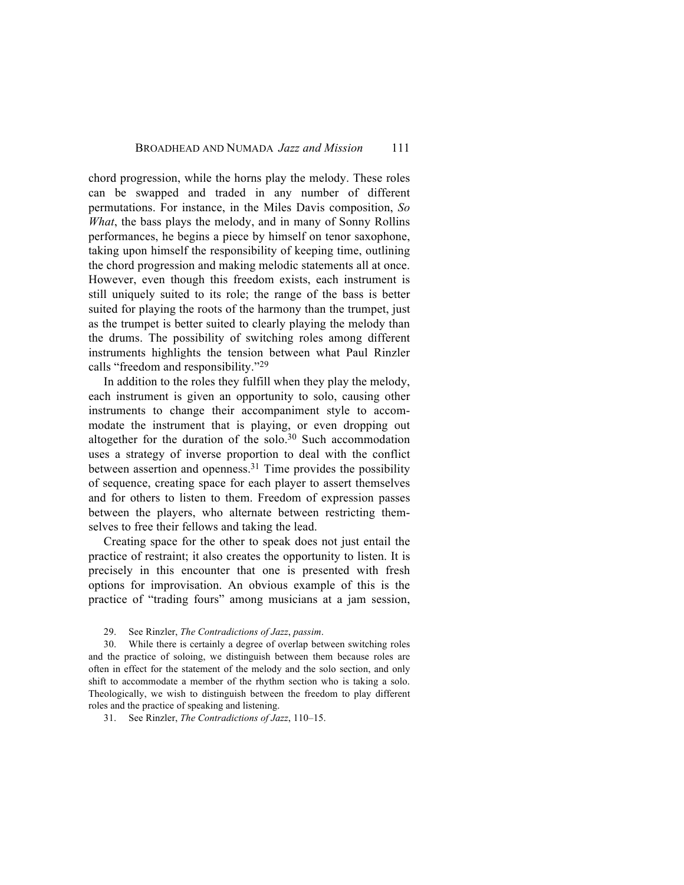chord progression, while the horns play the melody. These roles can be swapped and traded in any number of different permutations. For instance, in the Miles Davis composition, *So What*, the bass plays the melody, and in many of Sonny Rollins performances, he begins a piece by himself on tenor saxophone, taking upon himself the responsibility of keeping time, outlining the chord progression and making melodic statements all at once. However, even though this freedom exists, each instrument is still uniquely suited to its role; the range of the bass is better suited for playing the roots of the harmony than the trumpet, just as the trumpet is better suited to clearly playing the melody than the drums. The possibility of switching roles among different instruments highlights the tension between what Paul Rinzler calls "freedom and responsibility."29

In addition to the roles they fulfill when they play the melody, each instrument is given an opportunity to solo, causing other instruments to change their accompaniment style to accommodate the instrument that is playing, or even dropping out altogether for the duration of the solo.<sup>30</sup> Such accommodation uses a strategy of inverse proportion to deal with the conflict between assertion and openness. <sup>31</sup> Time provides the possibility of sequence, creating space for each player to assert themselves and for others to listen to them. Freedom of expression passes between the players, who alternate between restricting themselves to free their fellows and taking the lead.

Creating space for the other to speak does not just entail the practice of restraint; it also creates the opportunity to listen. It is precisely in this encounter that one is presented with fresh options for improvisation. An obvious example of this is the practice of "trading fours" among musicians at a jam session,

30. While there is certainly a degree of overlap between switching roles and the practice of soloing, we distinguish between them because roles are often in effect for the statement of the melody and the solo section, and only shift to accommodate a member of the rhythm section who is taking a solo. Theologically, we wish to distinguish between the freedom to play different roles and the practice of speaking and listening.

31. See Rinzler, *The Contradictions of Jazz*, 110–15.

<sup>29.</sup> See Rinzler, *The Contradictions of Jazz*, *passim*.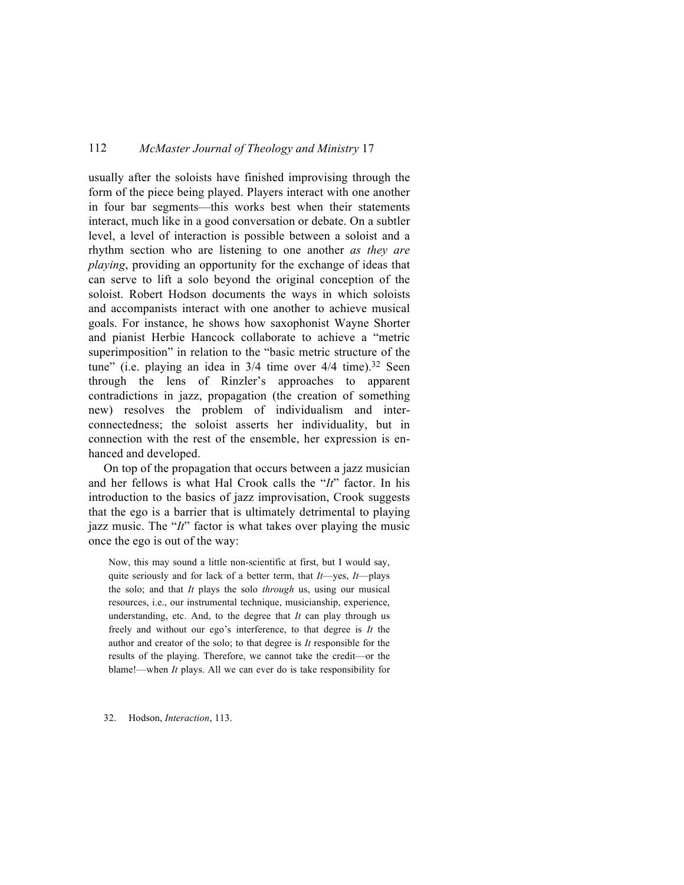usually after the soloists have finished improvising through the form of the piece being played. Players interact with one another in four bar segments—this works best when their statements interact, much like in a good conversation or debate. On a subtler level, a level of interaction is possible between a soloist and a rhythm section who are listening to one another *as they are playing*, providing an opportunity for the exchange of ideas that can serve to lift a solo beyond the original conception of the soloist. Robert Hodson documents the ways in which soloists and accompanists interact with one another to achieve musical goals. For instance, he shows how saxophonist Wayne Shorter and pianist Herbie Hancock collaborate to achieve a "metric superimposition" in relation to the "basic metric structure of the tune" (i.e. playing an idea in  $3/4$  time over  $4/4$  time).<sup>32</sup> Seen through the lens of Rinzler's approaches to apparent contradictions in jazz, propagation (the creation of something new) resolves the problem of individualism and interconnectedness; the soloist asserts her individuality, but in connection with the rest of the ensemble, her expression is enhanced and developed.

On top of the propagation that occurs between a jazz musician and her fellows is what Hal Crook calls the "*It*" factor. In his introduction to the basics of jazz improvisation, Crook suggests that the ego is a barrier that is ultimately detrimental to playing jazz music. The "*It*" factor is what takes over playing the music once the ego is out of the way:

Now, this may sound a little non-scientific at first, but I would say, quite seriously and for lack of a better term, that *It*—yes, *It*—plays the solo; and that *It* plays the solo *through* us, using our musical resources, i.e., our instrumental technique, musicianship, experience, understanding, etc. And, to the degree that *It* can play through us freely and without our ego's interference, to that degree is *It* the author and creator of the solo; to that degree is *It* responsible for the results of the playing. Therefore, we cannot take the credit—or the blame!—when *It* plays. All we can ever do is take responsibility for

32. Hodson, *Interaction*, 113.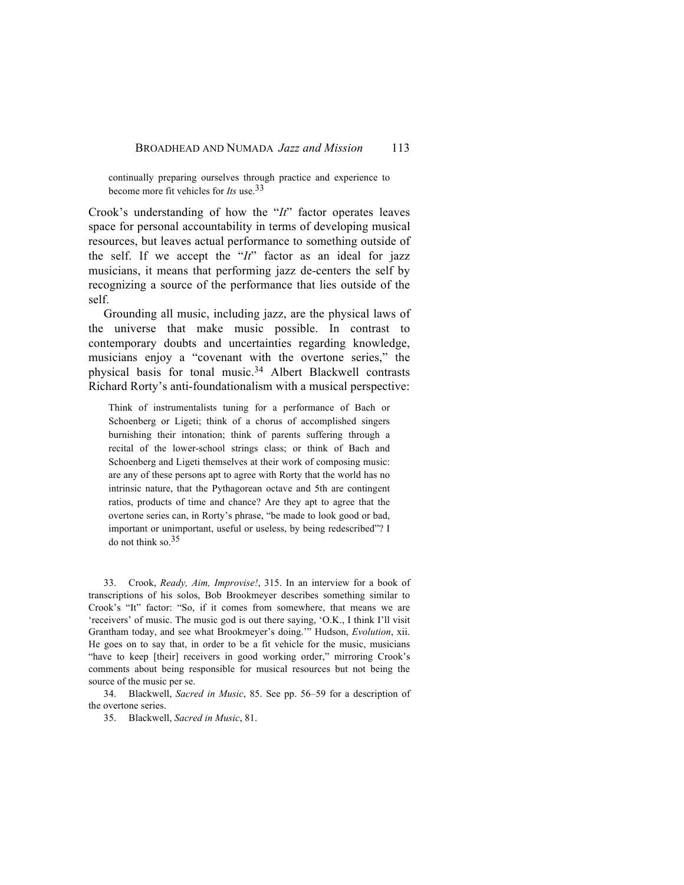continually preparing ourselves through practice and experience to become more fit vehicles for *Its* use.33

Crook's understanding of how the "*It*" factor operates leaves space for personal accountability in terms of developing musical resources, but leaves actual performance to something outside of the self. If we accept the "*It*" factor as an ideal for jazz musicians, it means that performing jazz de-centers the self by recognizing a source of the performance that lies outside of the self.

Grounding all music, including jazz, are the physical laws of the universe that make music possible. In contrast to contemporary doubts and uncertainties regarding knowledge, musicians enjoy a "covenant with the overtone series," the physical basis for tonal music.34 Albert Blackwell contrasts Richard Rorty's anti-foundationalism with a musical perspective:

Think of instrumentalists tuning for a performance of Bach or Schoenberg or Ligeti; think of a chorus of accomplished singers burnishing their intonation; think of parents suffering through a recital of the lower-school strings class; or think of Bach and Schoenberg and Ligeti themselves at their work of composing music: are any of these persons apt to agree with Rorty that the world has no intrinsic nature, that the Pythagorean octave and 5th are contingent ratios, products of time and chance? Are they apt to agree that the overtone series can, in Rorty's phrase, "be made to look good or bad, important or unimportant, useful or useless, by being redescribed"? I do not think so.35

33. Crook, *Ready, Aim, Improvise!*, 315. In an interview for a book of transcriptions of his solos, Bob Brookmeyer describes something similar to Crook's "It" factor: "So, if it comes from somewhere, that means we are 'receivers' of music. The music god is out there saying, 'O.K., I think I'll visit Grantham today, and see what Brookmeyer's doing.'" Hudson, *Evolution*, xii. He goes on to say that, in order to be a fit vehicle for the music, musicians "have to keep [their] receivers in good working order," mirroring Crook's comments about being responsible for musical resources but not being the source of the music per se.

34. Blackwell, *Sacred in Music*, 85. See pp. 56–59 for a description of the overtone series.

35. Blackwell, *Sacred in Music*, 81.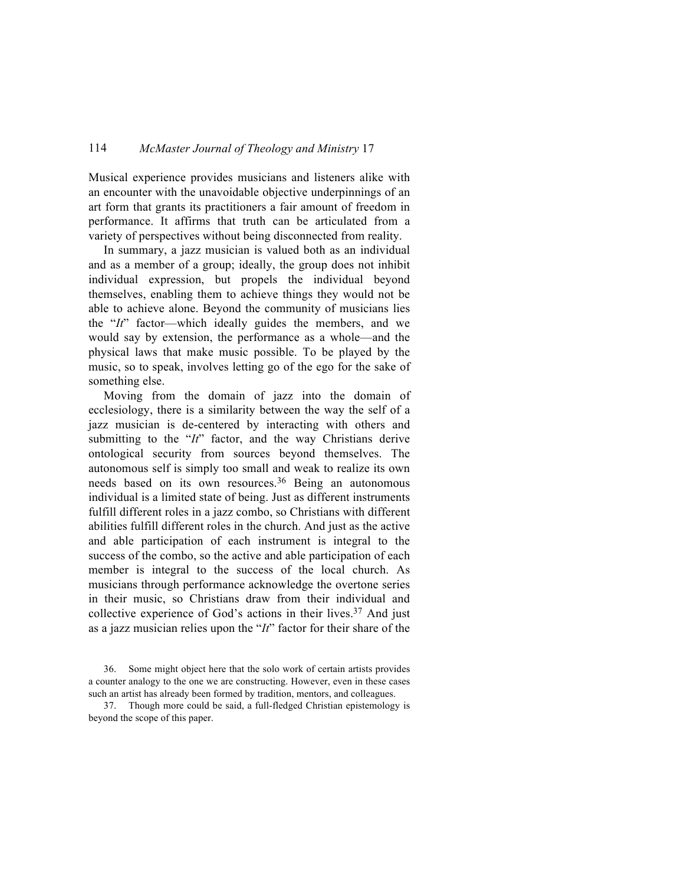Musical experience provides musicians and listeners alike with an encounter with the unavoidable objective underpinnings of an art form that grants its practitioners a fair amount of freedom in performance. It affirms that truth can be articulated from a variety of perspectives without being disconnected from reality.

In summary, a jazz musician is valued both as an individual and as a member of a group; ideally, the group does not inhibit individual expression, but propels the individual beyond themselves, enabling them to achieve things they would not be able to achieve alone. Beyond the community of musicians lies the "*It*" factor—which ideally guides the members, and we would say by extension, the performance as a whole—and the physical laws that make music possible. To be played by the music, so to speak, involves letting go of the ego for the sake of something else.

Moving from the domain of jazz into the domain of ecclesiology, there is a similarity between the way the self of a jazz musician is de-centered by interacting with others and submitting to the "*It*" factor, and the way Christians derive ontological security from sources beyond themselves. The autonomous self is simply too small and weak to realize its own needs based on its own resources.<sup>36</sup> Being an autonomous individual is a limited state of being. Just as different instruments fulfill different roles in a jazz combo, so Christians with different abilities fulfill different roles in the church. And just as the active and able participation of each instrument is integral to the success of the combo, so the active and able participation of each member is integral to the success of the local church. As musicians through performance acknowledge the overtone series in their music, so Christians draw from their individual and collective experience of God's actions in their lives.<sup>37</sup> And just as a jazz musician relies upon the "*It*" factor for their share of the

<sup>36.</sup> Some might object here that the solo work of certain artists provides a counter analogy to the one we are constructing. However, even in these cases such an artist has already been formed by tradition, mentors, and colleagues.

<sup>37.</sup> Though more could be said, a full-fledged Christian epistemology is beyond the scope of this paper.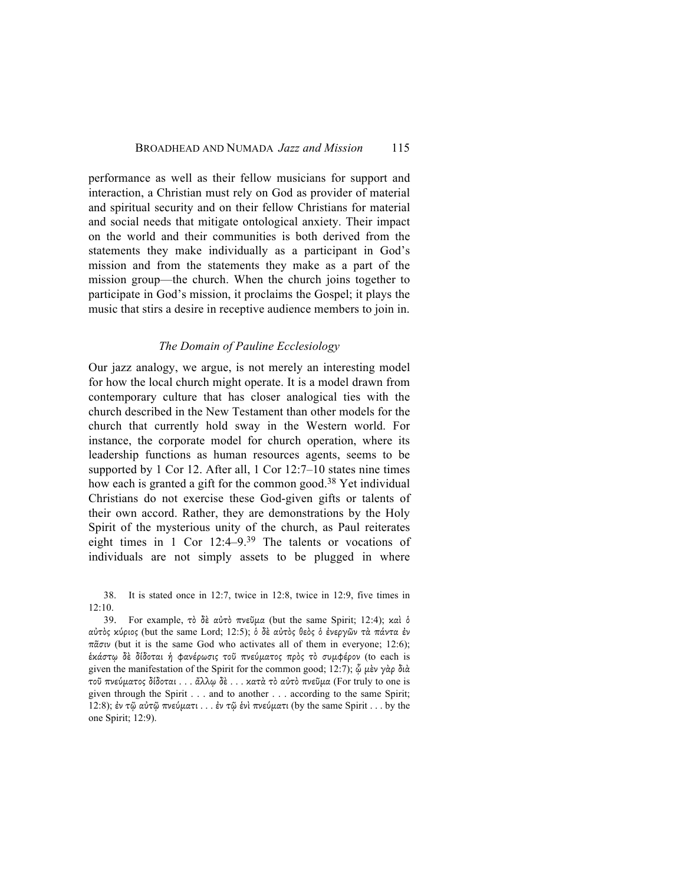performance as well as their fellow musicians for support and interaction, a Christian must rely on God as provider of material and spiritual security and on their fellow Christians for material and social needs that mitigate ontological anxiety. Their impact on the world and their communities is both derived from the statements they make individually as a participant in God's mission and from the statements they make as a part of the mission group—the church. When the church joins together to participate in God's mission, it proclaims the Gospel; it plays the music that stirs a desire in receptive audience members to join in.

#### *The Domain of Pauline Ecclesiology*

Our jazz analogy, we argue, is not merely an interesting model for how the local church might operate. It is a model drawn from contemporary culture that has closer analogical ties with the church described in the New Testament than other models for the church that currently hold sway in the Western world. For instance, the corporate model for church operation, where its leadership functions as human resources agents, seems to be supported by 1 Cor 12. After all, 1 Cor 12:7–10 states nine times how each is granted a gift for the common good.<sup>38</sup> Yet individual Christians do not exercise these God-given gifts or talents of their own accord. Rather, they are demonstrations by the Holy Spirit of the mysterious unity of the church, as Paul reiterates eight times in 1 Cor 12:4–9.39 The talents or vocations of individuals are not simply assets to be plugged in where

38. It is stated once in 12:7, twice in 12:8, twice in 12:9, five times in 12:10.

39. For example, τὸ δὲ αὐτὸ πνεῦµα (but the same Spirit; 12:4); καὶ ὁ αὐτὸς κύριος (but the same Lord; 12:5); ὁ δὲ αὐτὸς θεὸς ὁ ἐνεργῶν τὰ πάντα ἐν πᾶσιν (but it is the same God who activates all of them in everyone; 12:6); ἑκάστῳ δὲ δίδοται ἡ φανέρωσις τοῦ πνεύµατος πρὸς τὸ συµφέρον (to each is given the manifestation of the Spirit for the common good; 12:7);  $\hat{\varphi}$  μὲν γὰρ διὰ τοῦ πνεύµατος δίδοται . . . ἄλλῳ δὲ . . . κατὰ τὸ αὐτὸ πνεῦµα (For truly to one is given through the Spirit . . . and to another . . . according to the same Spirit; 12:8); ἐν τῷ αὐτῷ πνεύµατι . . . ἐν τῷ ἑνὶ πνεύµατι (by the same Spirit . . . by the one Spirit; 12:9).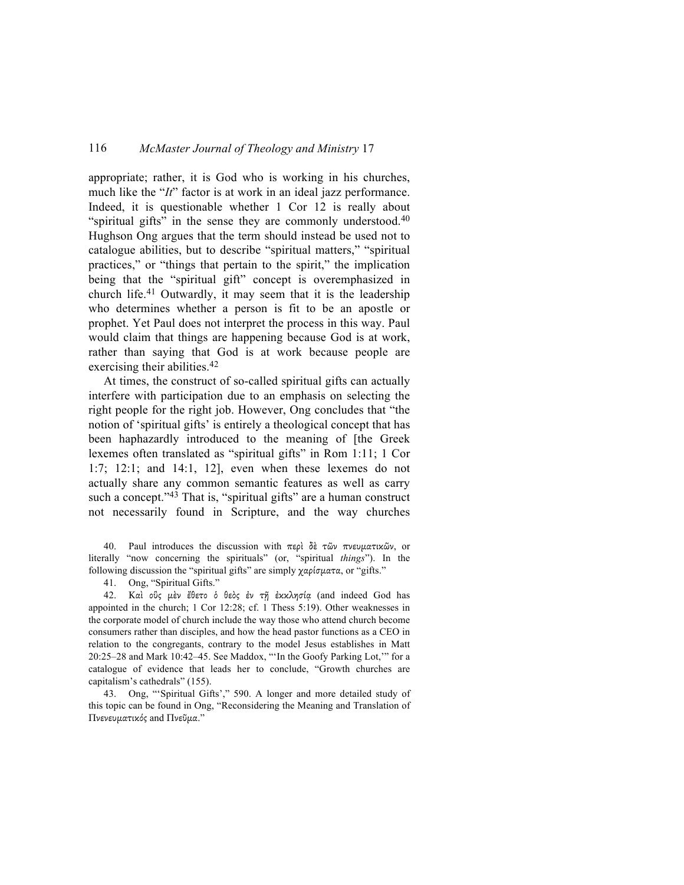appropriate; rather, it is God who is working in his churches, much like the "*It*" factor is at work in an ideal jazz performance. Indeed, it is questionable whether 1 Cor 12 is really about "spiritual gifts" in the sense they are commonly understood. $40$ Hughson Ong argues that the term should instead be used not to catalogue abilities, but to describe "spiritual matters," "spiritual practices," or "things that pertain to the spirit," the implication being that the "spiritual gift" concept is overemphasized in church life.41 Outwardly, it may seem that it is the leadership who determines whether a person is fit to be an apostle or prophet. Yet Paul does not interpret the process in this way. Paul would claim that things are happening because God is at work, rather than saying that God is at work because people are exercising their abilities.<sup>42</sup>

At times, the construct of so-called spiritual gifts can actually interfere with participation due to an emphasis on selecting the right people for the right job. However, Ong concludes that "the notion of 'spiritual gifts' is entirely a theological concept that has been haphazardly introduced to the meaning of [the Greek lexemes often translated as "spiritual gifts" in Rom 1:11; 1 Cor 1:7; 12:1; and 14:1, 12], even when these lexemes do not actually share any common semantic features as well as carry such a concept."<sup>43</sup> That is, "spiritual gifts" are a human construct not necessarily found in Scripture, and the way churches

40. Paul introduces the discussion with περὶ δὲ τῶν πνευµατικῶν, or literally "now concerning the spirituals" (or, "spiritual *things*"). In the following discussion the "spiritual gifts" are simply χαρίσµατα, or "gifts."

41. Ong, "Spiritual Gifts."

42. Καὶ οὓς µὲν ἔθετο ὁ θεὸς ἐν τῇ ἐκκλησίᾳ (and indeed God has appointed in the church; 1 Cor 12:28; cf. 1 Thess 5:19). Other weaknesses in the corporate model of church include the way those who attend church become consumers rather than disciples, and how the head pastor functions as a CEO in relation to the congregants, contrary to the model Jesus establishes in Matt 20:25–28 and Mark 10:42–45. See Maddox, "'In the Goofy Parking Lot,'" for a catalogue of evidence that leads her to conclude, "Growth churches are capitalism's cathedrals" (155).

43. Ong, "'Spiritual Gifts'," 590. A longer and more detailed study of this topic can be found in Ong, "Reconsidering the Meaning and Translation of Πνενευµατικός and Πνεῦµα."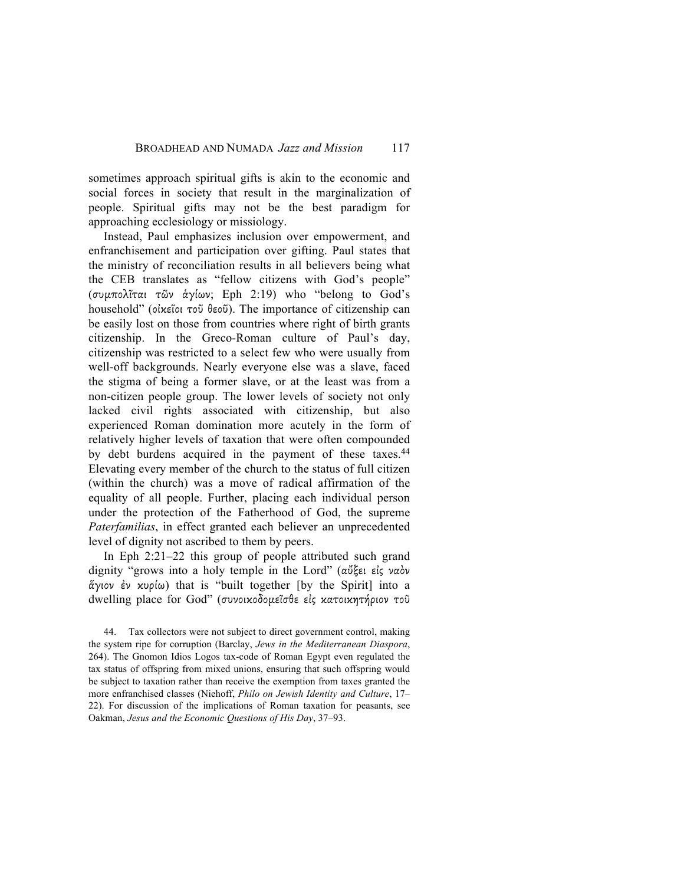sometimes approach spiritual gifts is akin to the economic and social forces in society that result in the marginalization of people. Spiritual gifts may not be the best paradigm for approaching ecclesiology or missiology.

Instead, Paul emphasizes inclusion over empowerment, and enfranchisement and participation over gifting. Paul states that the ministry of reconciliation results in all believers being what the CEB translates as "fellow citizens with God's people" (συµπολῖται τῶν ἁγίων; Eph 2:19) who "belong to God's household" (οἰκεῖοι τοῦ θεοῦ). The importance of citizenship can be easily lost on those from countries where right of birth grants citizenship. In the Greco-Roman culture of Paul's day, citizenship was restricted to a select few who were usually from well-off backgrounds. Nearly everyone else was a slave, faced the stigma of being a former slave, or at the least was from a non-citizen people group. The lower levels of society not only lacked civil rights associated with citizenship, but also experienced Roman domination more acutely in the form of relatively higher levels of taxation that were often compounded by debt burdens acquired in the payment of these taxes.<sup>44</sup> Elevating every member of the church to the status of full citizen (within the church) was a move of radical affirmation of the equality of all people. Further, placing each individual person under the protection of the Fatherhood of God, the supreme *Paterfamilias*, in effect granted each believer an unprecedented level of dignity not ascribed to them by peers.

In Eph 2:21–22 this group of people attributed such grand dignity "grows into a holy temple in the Lord" (αὔξει εἰς ναὸν ἅγιον ἐν κυρίω) that is "built together [by the Spirit] into a dwelling place for God" (συνοικοδομεΐσθε είς κατοικητήριον τοῦ

44. Tax collectors were not subject to direct government control, making the system ripe for corruption (Barclay, *Jews in the Mediterranean Diaspora*, 264). The Gnomon Idios Logos tax-code of Roman Egypt even regulated the tax status of offspring from mixed unions, ensuring that such offspring would be subject to taxation rather than receive the exemption from taxes granted the more enfranchised classes (Niehoff, *Philo on Jewish Identity and Culture*, 17– 22). For discussion of the implications of Roman taxation for peasants, see Oakman, *Jesus and the Economic Questions of His Day*, 37–93.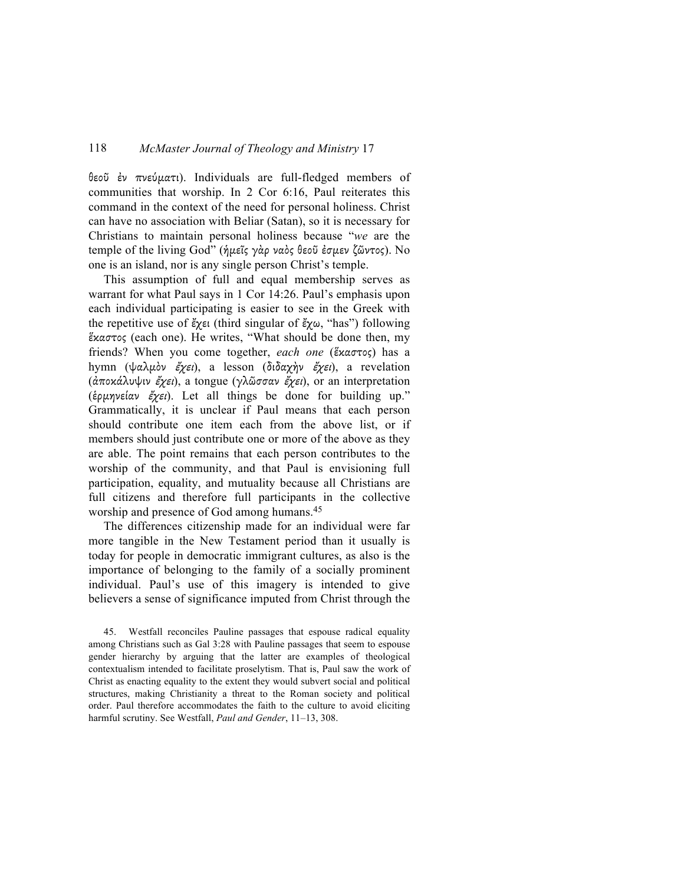θεοῦ ἐν πνεύµατι). Individuals are full-fledged members of communities that worship. In 2 Cor 6:16, Paul reiterates this command in the context of the need for personal holiness. Christ can have no association with Beliar (Satan), so it is necessary for Christians to maintain personal holiness because "*we* are the temple of the living God" (ἡµεῖς γὰρ ναὸς θεοῦ ἐσµεν ζῶντος). No one is an island, nor is any single person Christ's temple.

This assumption of full and equal membership serves as warrant for what Paul says in 1 Cor 14:26. Paul's emphasis upon each individual participating is easier to see in the Greek with the repetitive use of έχει (third singular of έχω, "has") following ἕκαστος (each one). He writes, "What should be done then, my friends? When you come together, *each one* (ἕκαστος) has a hymn (ψαλµὸν ἔχει), a lesson (διδαχὴν ἔχει), a revelation (ἀποκάλυψιν έχει), a tongue (γλῶσσαν έχει), or an interpretation (ἑρµηνείαν ἔχει). Let all things be done for building up." Grammatically, it is unclear if Paul means that each person should contribute one item each from the above list, or if members should just contribute one or more of the above as they are able. The point remains that each person contributes to the worship of the community, and that Paul is envisioning full participation, equality, and mutuality because all Christians are full citizens and therefore full participants in the collective worship and presence of God among humans.<sup>45</sup>

The differences citizenship made for an individual were far more tangible in the New Testament period than it usually is today for people in democratic immigrant cultures, as also is the importance of belonging to the family of a socially prominent individual. Paul's use of this imagery is intended to give believers a sense of significance imputed from Christ through the

45. Westfall reconciles Pauline passages that espouse radical equality among Christians such as Gal 3:28 with Pauline passages that seem to espouse gender hierarchy by arguing that the latter are examples of theological contextualism intended to facilitate proselytism. That is, Paul saw the work of Christ as enacting equality to the extent they would subvert social and political structures, making Christianity a threat to the Roman society and political order. Paul therefore accommodates the faith to the culture to avoid eliciting harmful scrutiny. See Westfall, *Paul and Gender*, 11–13, 308.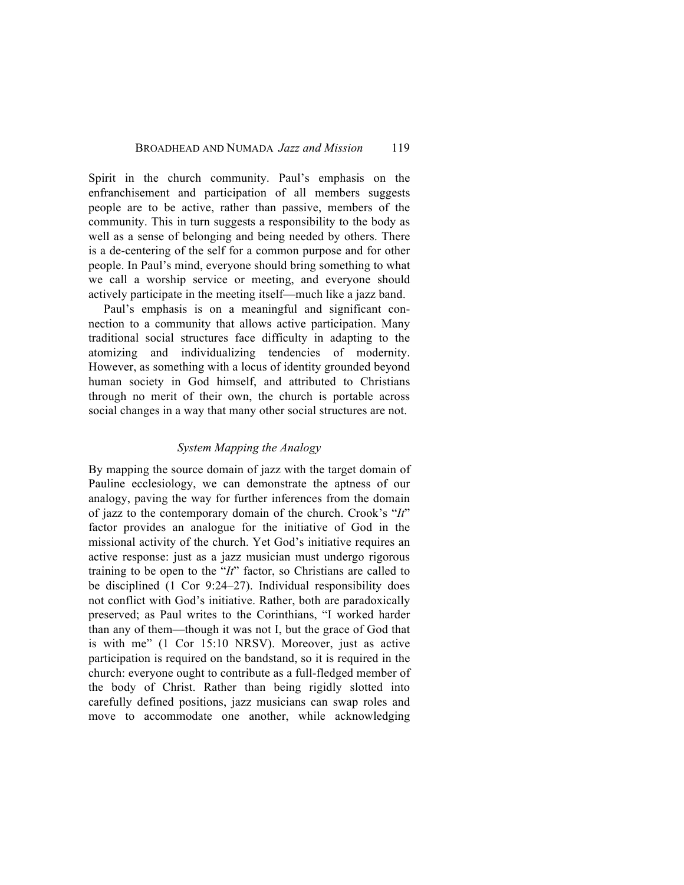Spirit in the church community. Paul's emphasis on the enfranchisement and participation of all members suggests people are to be active, rather than passive, members of the community. This in turn suggests a responsibility to the body as well as a sense of belonging and being needed by others. There is a de-centering of the self for a common purpose and for other people. In Paul's mind, everyone should bring something to what we call a worship service or meeting, and everyone should actively participate in the meeting itself—much like a jazz band.

Paul's emphasis is on a meaningful and significant connection to a community that allows active participation. Many traditional social structures face difficulty in adapting to the atomizing and individualizing tendencies of modernity. However, as something with a locus of identity grounded beyond human society in God himself, and attributed to Christians through no merit of their own, the church is portable across social changes in a way that many other social structures are not.

#### *System Mapping the Analogy*

By mapping the source domain of jazz with the target domain of Pauline ecclesiology, we can demonstrate the aptness of our analogy, paving the way for further inferences from the domain of jazz to the contemporary domain of the church. Crook's "*It*" factor provides an analogue for the initiative of God in the missional activity of the church. Yet God's initiative requires an active response: just as a jazz musician must undergo rigorous training to be open to the "*It*" factor, so Christians are called to be disciplined (1 Cor 9:24–27). Individual responsibility does not conflict with God's initiative. Rather, both are paradoxically preserved; as Paul writes to the Corinthians, "I worked harder than any of them—though it was not I, but the grace of God that is with me" (1 Cor 15:10 NRSV). Moreover, just as active participation is required on the bandstand, so it is required in the church: everyone ought to contribute as a full-fledged member of the body of Christ. Rather than being rigidly slotted into carefully defined positions, jazz musicians can swap roles and move to accommodate one another, while acknowledging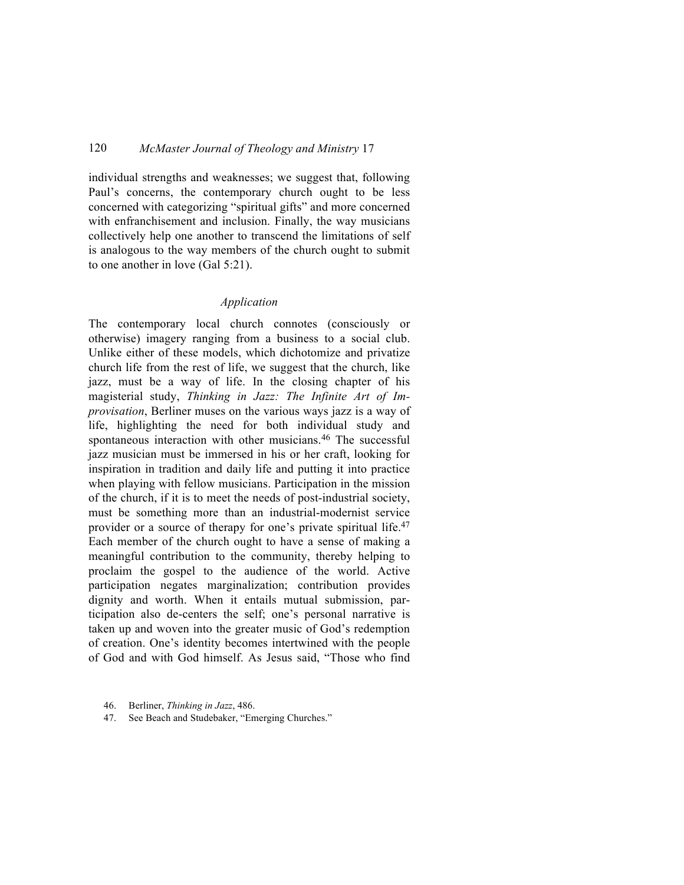individual strengths and weaknesses; we suggest that, following Paul's concerns, the contemporary church ought to be less concerned with categorizing "spiritual gifts" and more concerned with enfranchisement and inclusion. Finally, the way musicians collectively help one another to transcend the limitations of self is analogous to the way members of the church ought to submit to one another in love (Gal 5:21).

### *Application*

The contemporary local church connotes (consciously or otherwise) imagery ranging from a business to a social club. Unlike either of these models, which dichotomize and privatize church life from the rest of life, we suggest that the church, like jazz, must be a way of life. In the closing chapter of his magisterial study, *Thinking in Jazz: The Infinite Art of Improvisation*, Berliner muses on the various ways jazz is a way of life, highlighting the need for both individual study and spontaneous interaction with other musicians.46 The successful jazz musician must be immersed in his or her craft, looking for inspiration in tradition and daily life and putting it into practice when playing with fellow musicians. Participation in the mission of the church, if it is to meet the needs of post-industrial society, must be something more than an industrial-modernist service provider or a source of therapy for one's private spiritual life.47 Each member of the church ought to have a sense of making a meaningful contribution to the community, thereby helping to proclaim the gospel to the audience of the world. Active participation negates marginalization; contribution provides dignity and worth. When it entails mutual submission, participation also de-centers the self; one's personal narrative is taken up and woven into the greater music of God's redemption of creation. One's identity becomes intertwined with the people of God and with God himself. As Jesus said, "Those who find

<sup>46.</sup> Berliner, *Thinking in Jazz*, 486.

<sup>47.</sup> See Beach and Studebaker, "Emerging Churches."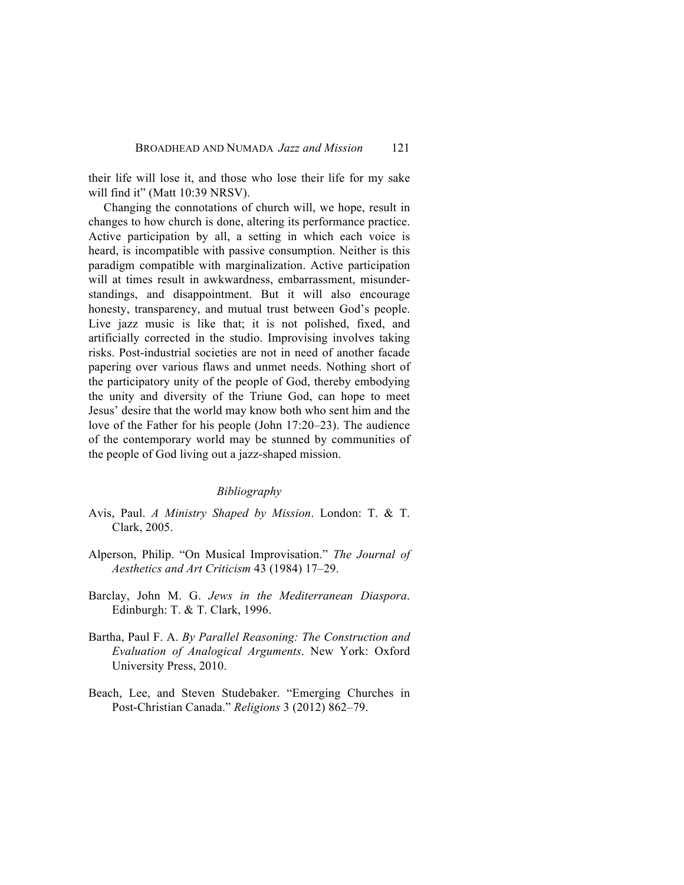their life will lose it, and those who lose their life for my sake will find it" (Matt 10:39 NRSV).

Changing the connotations of church will, we hope, result in changes to how church is done, altering its performance practice. Active participation by all, a setting in which each voice is heard, is incompatible with passive consumption. Neither is this paradigm compatible with marginalization. Active participation will at times result in awkwardness, embarrassment, misunderstandings, and disappointment. But it will also encourage honesty, transparency, and mutual trust between God's people. Live jazz music is like that; it is not polished, fixed, and artificially corrected in the studio. Improvising involves taking risks. Post-industrial societies are not in need of another facade papering over various flaws and unmet needs. Nothing short of the participatory unity of the people of God, thereby embodying the unity and diversity of the Triune God, can hope to meet Jesus' desire that the world may know both who sent him and the love of the Father for his people (John 17:20–23). The audience of the contemporary world may be stunned by communities of the people of God living out a jazz-shaped mission.

#### *Bibliography*

- Avis, Paul. *A Ministry Shaped by Mission*. London: T. & T. Clark, 2005.
- Alperson, Philip. "On Musical Improvisation." *The Journal of Aesthetics and Art Criticism* 43 (1984) 17–29.
- Barclay, John M. G. *Jews in the Mediterranean Diaspora*. Edinburgh: T. & T. Clark, 1996.
- Bartha, Paul F. A. *By Parallel Reasoning: The Construction and Evaluation of Analogical Arguments*. New York: Oxford University Press, 2010.
- Beach, Lee, and Steven Studebaker. "Emerging Churches in Post-Christian Canada." *Religions* 3 (2012) 862–79.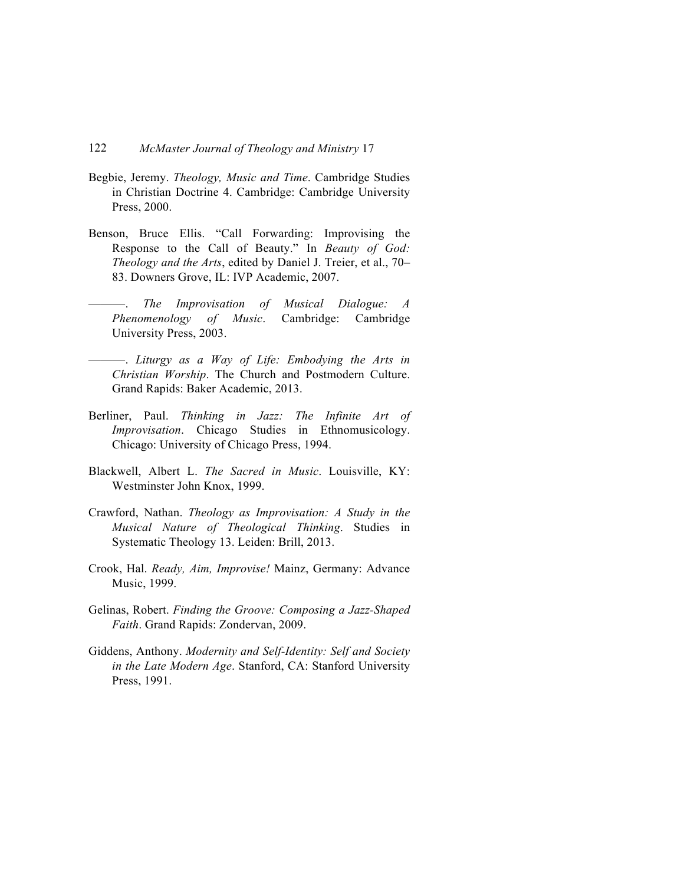- Begbie, Jeremy. *Theology, Music and Time*. Cambridge Studies in Christian Doctrine 4. Cambridge: Cambridge University Press, 2000.
- Benson, Bruce Ellis. "Call Forwarding: Improvising the Response to the Call of Beauty." In *Beauty of God: Theology and the Arts*, edited by Daniel J. Treier, et al., 70– 83. Downers Grove, IL: IVP Academic, 2007.
- ———. *The Improvisation of Musical Dialogue: A Phenomenology of Music*. Cambridge: Cambridge University Press, 2003.
- ———. *Liturgy as a Way of Life: Embodying the Arts in Christian Worship*. The Church and Postmodern Culture. Grand Rapids: Baker Academic, 2013.
- Berliner, Paul. *Thinking in Jazz: The Infinite Art of Improvisation*. Chicago Studies in Ethnomusicology. Chicago: University of Chicago Press, 1994.
- Blackwell, Albert L. *The Sacred in Music*. Louisville, KY: Westminster John Knox, 1999.
- Crawford, Nathan. *Theology as Improvisation: A Study in the Musical Nature of Theological Thinking*. Studies in Systematic Theology 13. Leiden: Brill, 2013.
- Crook, Hal. *Ready, Aim, Improvise!* Mainz, Germany: Advance Music, 1999.
- Gelinas, Robert. *Finding the Groove: Composing a Jazz-Shaped Faith*. Grand Rapids: Zondervan, 2009.
- Giddens, Anthony. *Modernity and Self-Identity: Self and Society in the Late Modern Age*. Stanford, CA: Stanford University Press, 1991.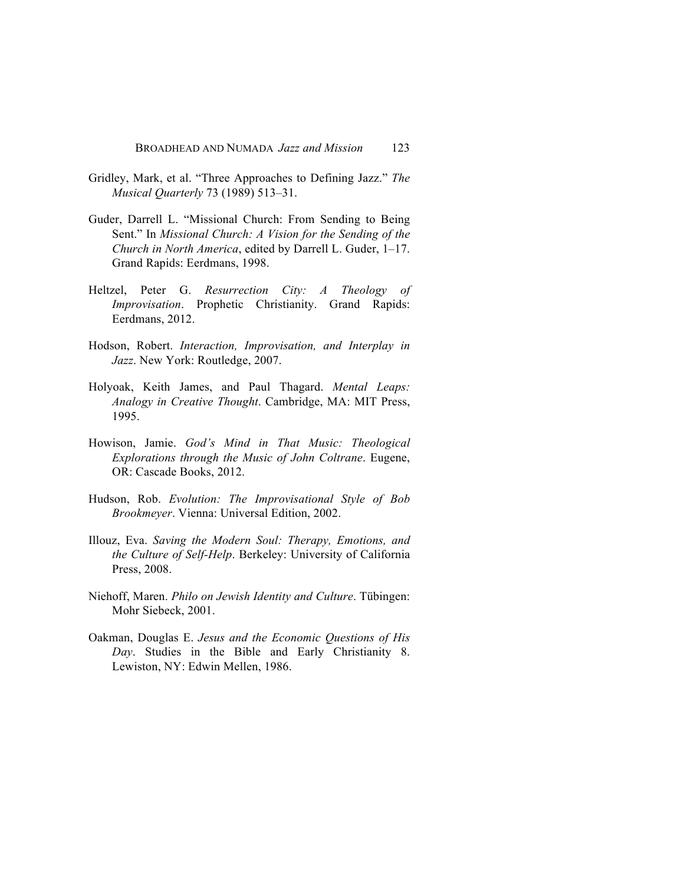- Gridley, Mark, et al. "Three Approaches to Defining Jazz." *The Musical Quarterly* 73 (1989) 513–31.
- Guder, Darrell L. "Missional Church: From Sending to Being Sent." In *Missional Church: A Vision for the Sending of the Church in North America*, edited by Darrell L. Guder, 1–17. Grand Rapids: Eerdmans, 1998.
- Heltzel, Peter G. *Resurrection City: A Theology of Improvisation*. Prophetic Christianity. Grand Rapids: Eerdmans, 2012.
- Hodson, Robert. *Interaction, Improvisation, and Interplay in Jazz*. New York: Routledge, 2007.
- Holyoak, Keith James, and Paul Thagard. *Mental Leaps: Analogy in Creative Thought*. Cambridge, MA: MIT Press, 1995.
- Howison, Jamie. *God's Mind in That Music: Theological Explorations through the Music of John Coltrane*. Eugene, OR: Cascade Books, 2012.
- Hudson, Rob. *Evolution: The Improvisational Style of Bob Brookmeyer*. Vienna: Universal Edition, 2002.
- Illouz, Eva. *Saving the Modern Soul: Therapy, Emotions, and the Culture of Self-Help*. Berkeley: University of California Press, 2008.
- Niehoff, Maren. *Philo on Jewish Identity and Culture*. Tübingen: Mohr Siebeck, 2001.
- Oakman, Douglas E. *Jesus and the Economic Questions of His Day*. Studies in the Bible and Early Christianity 8. Lewiston, NY: Edwin Mellen, 1986.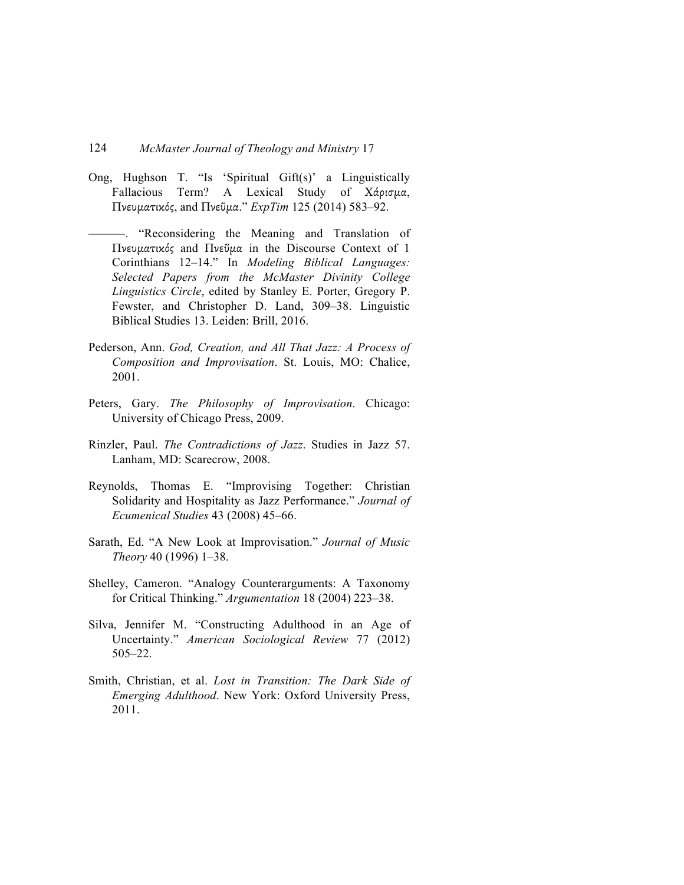- Ong, Hughson T. "Is 'Spiritual Gift(s)' a Linguistically Fallacious Term? A Lexical Study of Χάρισμα, Πνευµατικός, and Πνεῦµα." *ExpTim* 125 (2014) 583–92.
- ———. "Reconsidering the Meaning and Translation of Πνευµατικός and Πνεῦµα in the Discourse Context of 1 Corinthians 12–14." In *Modeling Biblical Languages: Selected Papers from the McMaster Divinity College Linguistics Circle*, edited by Stanley E. Porter, Gregory P. Fewster, and Christopher D. Land, 309–38. Linguistic Biblical Studies 13. Leiden: Brill, 2016.
- Pederson, Ann. *God, Creation, and All That Jazz: A Process of Composition and Improvisation*. St. Louis, MO: Chalice, 2001.
- Peters, Gary. *The Philosophy of Improvisation*. Chicago: University of Chicago Press, 2009.
- Rinzler, Paul. *The Contradictions of Jazz*. Studies in Jazz 57. Lanham, MD: Scarecrow, 2008.
- Reynolds, Thomas E. "Improvising Together: Christian Solidarity and Hospitality as Jazz Performance." *Journal of Ecumenical Studies* 43 (2008) 45–66.
- Sarath, Ed. "A New Look at Improvisation." *Journal of Music Theory* 40 (1996) 1–38.
- Shelley, Cameron. "Analogy Counterarguments: A Taxonomy for Critical Thinking." *Argumentation* 18 (2004) 223–38.
- Silva, Jennifer M. "Constructing Adulthood in an Age of Uncertainty." *American Sociological Review* 77 (2012) 505–22.
- Smith, Christian, et al. *Lost in Transition: The Dark Side of Emerging Adulthood*. New York: Oxford University Press, 2011.